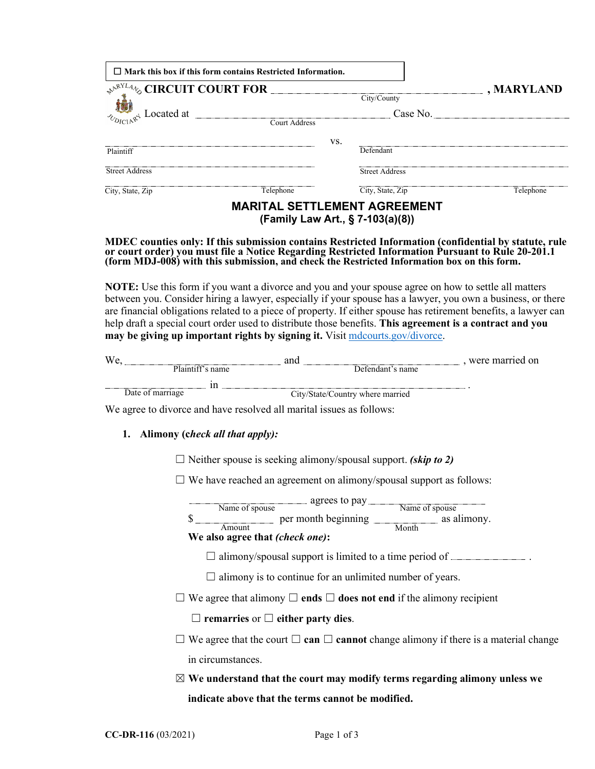| $\Box$ Mark this box if this form contains Restricted Information. |               |     |                                                                         |                                   |
|--------------------------------------------------------------------|---------------|-----|-------------------------------------------------------------------------|-----------------------------------|
| $\mathcal{A}^{\mathcal{N}^{XL4}}$ CIRCUIT COURT FOR                |               |     | City/County                                                             | $\boxed{\blacksquare}$ , MARYLAND |
| $\frac{1}{\sqrt[n]{b}}$ Located at                                 | Court Address |     |                                                                         |                                   |
|                                                                    |               | VS. |                                                                         |                                   |
| Plaintiff                                                          |               |     | Defendant                                                               |                                   |
| <b>Street Address</b>                                              |               |     | <b>Street Address</b>                                                   |                                   |
| City, State, Zip                                                   | Telephone     |     | City, State, Zip                                                        | Telephone                         |
|                                                                    |               |     | <b>MARITAL SETTLEMENT AGREEMENT</b><br>(Family Law Art., § 7-103(a)(8)) |                                   |

#### **MDEC counties only: If this submission contains Restricted Information (confidential by statute, rule or court order) you must file a Notice Regarding Restricted Information Pursuant to Rule 20-201.1 (form MDJ-008) with this submission, and check the Restricted Information box on this form.**

**NOTE:** Use this form if you want a divorce and you and your spouse agree on how to settle all matters between you. Consider hiring a lawyer, especially if your spouse has a lawyer, you own a business, or there are financial obligations related to a piece of property. If either spouse has retirement benefits, a lawyer can help draft a special court order used to distribute those benefits. **This agreement is a contract and you may be giving up important rights by signing it.** Visit [mdcourts.gov/divorce.](https://mdcourts.gov/legalhelp/family/divorce)

| w                | anc                              | were married on |
|------------------|----------------------------------|-----------------|
| Plaintiff's name | Defendant's name                 |                 |
|                  |                                  |                 |
| Date of marriage | City/State/Country where married |                 |

We agree to divorce and have resolved all marital issues as follows:

### **1. Alimony (c***heck all that apply):*

☐ Neither spouse is seeking alimony/spousal support. *(skip to 2)*

 $\Box$  We have reached an agreement on alimony/spousal support as follows:

| ----------------------<br>и<br>÷ | . .<br>$\tilde{\phantom{a}}$ | $\sim$ $\sim$ $\sim$<br>$\tilde{\phantom{a}}$<br>- | ---------------------<br>----------<br>$\sim$ |
|----------------------------------|------------------------------|----------------------------------------------------|-----------------------------------------------|
|----------------------------------|------------------------------|----------------------------------------------------|-----------------------------------------------|

\$ Amount 1 Month

### **We also agree that** *(check one)***:**

 $\Box$  alimony/spousal support is limited to a time period of  $\Box$ 

 $\Box$  alimony is to continue for an unlimited number of years.

☐ We agree that alimony ☐ **ends** ☐ **does not end** if the alimony recipient

☐ **remarries** or ☐ **either party dies**.

- ☐ We agree that the court ☐ **can** ☐ **cannot** change alimony if there is a material change in circumstances.
- ☒ **We understand that the court may modify terms regarding alimony unless we indicate above that the terms cannot be modified.**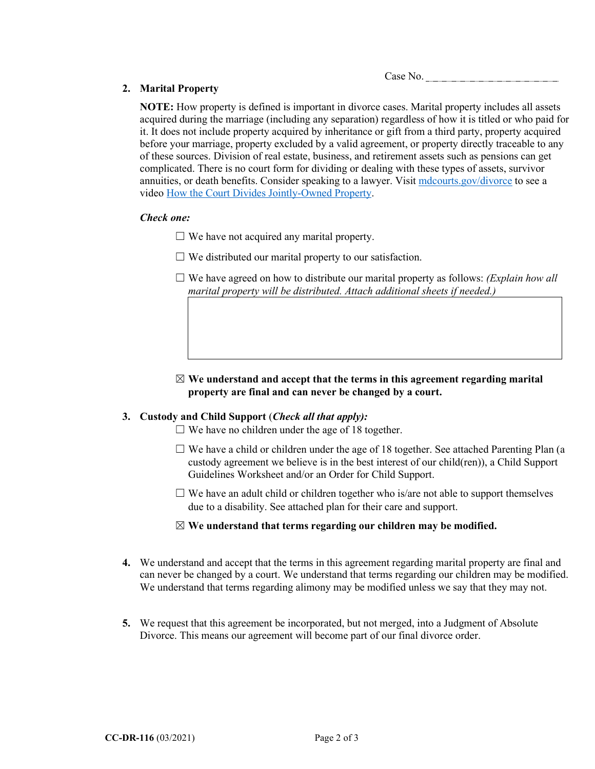Case No.

# **2. Marital Property**

**NOTE:** How property is defined is important in divorce cases. Marital property includes all assets acquired during the marriage (including any separation) regardless of how it is titled or who paid for it. It does not include property acquired by inheritance or gift from a third party, property acquired before your marriage, property excluded by a valid agreement, or property directly traceable to any of these sources. Division of real estate, business, and retirement assets such as pensions can get complicated. There is no court form for dividing or dealing with these types of assets, survivor annuities, or death benefits. Consider speaking to a lawyer. Visit [mdcourts.gov/divorce](https://mdcourts.gov/legalhelp/family/divorce) to see a video [How the Court Divides Jointly-Owned Property.](https://mdcourts.gov/video/selfhelp/divorce-series-how-court-divides-jointly-owned-property)

# *Check one:*

 $\Box$  We have not acquired any marital property.

- $\Box$  We distributed our marital property to our satisfaction.
- $\Box$  We have agreed on how to distribute our marital property as follows: *(Explain how all*) *marital property will be distributed. Attach additional sheets if needed.)*
- ☒ **We understand and accept that the terms in this agreement regarding marital property are final and can never be changed by a court.**

# **3. Custody and Child Support** (*Check all that apply):*

 $\Box$  We have no children under the age of 18 together.

- $\Box$  We have a child or children under the age of 18 together. See attached Parenting Plan (a custody agreement we believe is in the best interest of our child(ren)), a Child Support Guidelines Worksheet and/or an Order for Child Support.
- $\Box$  We have an adult child or children together who is/are not able to support themselves due to a disability. See attached plan for their care and support.

### ☒ **We understand that terms regarding our children may be modified.**

- **4.** We understand and accept that the terms in this agreement regarding marital property are final and can never be changed by a court. We understand that terms regarding our children may be modified. We understand that terms regarding alimony may be modified unless we say that they may not.
- **5.** We request that this agreement be incorporated, but not merged, into a Judgment of Absolute Divorce. This means our agreement will become part of our final divorce order.